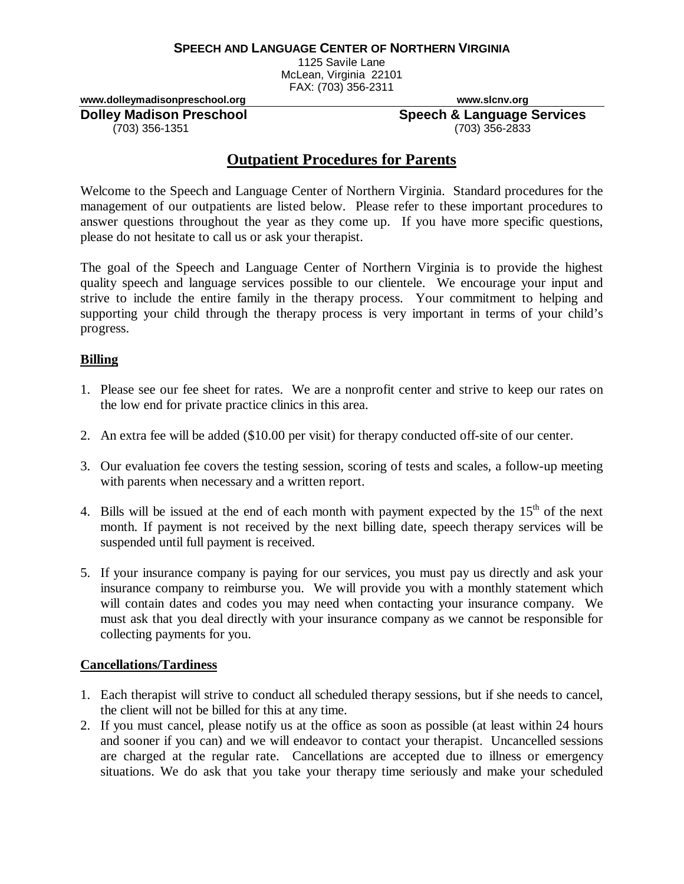#### **SPEECH AND LANGUAGE CENTER OF NORTHERN VIRGINIA**

1125 Savile Lane McLean, Virginia 22101 FAX: (703) 356-2311

**www.dolleymadisonpreschool.org www.slcnv.org** 

 $(703)$  356-1351

**Dolley Madison Preschool Speech & Language Services**<br>(703) 356-1351 (703) 356-2833

# **Outpatient Procedures for Parents**

Welcome to the Speech and Language Center of Northern Virginia. Standard procedures for the management of our outpatients are listed below. Please refer to these important procedures to answer questions throughout the year as they come up. If you have more specific questions, please do not hesitate to call us or ask your therapist.

The goal of the Speech and Language Center of Northern Virginia is to provide the highest quality speech and language services possible to our clientele. We encourage your input and strive to include the entire family in the therapy process. Your commitment to helping and supporting your child through the therapy process is very important in terms of your child's progress.

### **Billing**

- 1. Please see our fee sheet for rates. We are a nonprofit center and strive to keep our rates on the low end for private practice clinics in this area.
- 2. An extra fee will be added (\$10.00 per visit) for therapy conducted off-site of our center.
- 3. Our evaluation fee covers the testing session, scoring of tests and scales, a follow-up meeting with parents when necessary and a written report.
- 4. Bills will be issued at the end of each month with payment expected by the  $15<sup>th</sup>$  of the next month. If payment is not received by the next billing date, speech therapy services will be suspended until full payment is received.
- 5. If your insurance company is paying for our services, you must pay us directly and ask your insurance company to reimburse you. We will provide you with a monthly statement which will contain dates and codes you may need when contacting your insurance company. We must ask that you deal directly with your insurance company as we cannot be responsible for collecting payments for you.

#### **Cancellations/Tardiness**

- 1. Each therapist will strive to conduct all scheduled therapy sessions, but if she needs to cancel, the client will not be billed for this at any time.
- 2. If you must cancel, please notify us at the office as soon as possible (at least within 24 hours and sooner if you can) and we will endeavor to contact your therapist. Uncancelled sessions are charged at the regular rate. Cancellations are accepted due to illness or emergency situations. We do ask that you take your therapy time seriously and make your scheduled